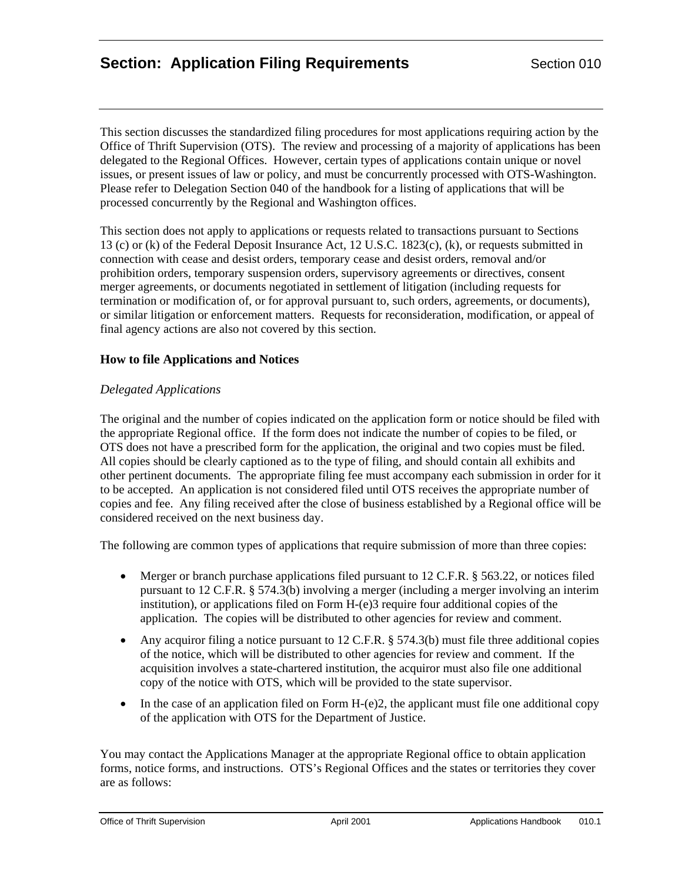This section discusses the standardized filing procedures for most applications requiring action by the Office of Thrift Supervision (OTS). The review and processing of a majority of applications has been delegated to the Regional Offices. However, certain types of applications contain unique or novel issues, or present issues of law or policy, and must be concurrently processed with OTS-Washington. Please refer to Delegation Section 040 of the handbook for a listing of applications that will be processed concurrently by the Regional and Washington offices.

This section does not apply to applications or requests related to transactions pursuant to Sections 13 (c) or (k) of the Federal Deposit Insurance Act, 12 U.S.C. 1823(c), (k), or requests submitted in connection with cease and desist orders, temporary cease and desist orders, removal and/or prohibition orders, temporary suspension orders, supervisory agreements or directives, consent merger agreements, or documents negotiated in settlement of litigation (including requests for termination or modification of, or for approval pursuant to, such orders, agreements, or documents), or similar litigation or enforcement matters. Requests for reconsideration, modification, or appeal of final agency actions are also not covered by this section.

# **How to file Applications and Notices**

### *Delegated Applications*

The original and the number of copies indicated on the application form or notice should be filed with the appropriate Regional office. If the form does not indicate the number of copies to be filed, or OTS does not have a prescribed form for the application, the original and two copies must be filed. All copies should be clearly captioned as to the type of filing, and should contain all exhibits and other pertinent documents. The appropriate filing fee must accompany each submission in order for it to be accepted. An application is not considered filed until OTS receives the appropriate number of copies and fee. Any filing received after the close of business established by a Regional office will be considered received on the next business day.

The following are common types of applications that require submission of more than three copies:

- Merger or branch purchase applications filed pursuant to 12 C.F.R. § 563.22, or notices filed pursuant to 12 C.F.R. § 574.3(b) involving a merger (including a merger involving an interim institution), or applications filed on Form H-(e)3 require four additional copies of the application. The copies will be distributed to other agencies for review and comment.
- Any acquiror filing a notice pursuant to 12 C.F.R.  $\S 574.3(b)$  must file three additional copies of the notice, which will be distributed to other agencies for review and comment. If the acquisition involves a state-chartered institution, the acquiror must also file one additional copy of the notice with OTS, which will be provided to the state supervisor.
- In the case of an application filed on Form  $H-(e)2$ , the applicant must file one additional copy of the application with OTS for the Department of Justice.

You may contact the Applications Manager at the appropriate Regional office to obtain application forms, notice forms, and instructions. OTS's Regional Offices and the states or territories they cover are as follows: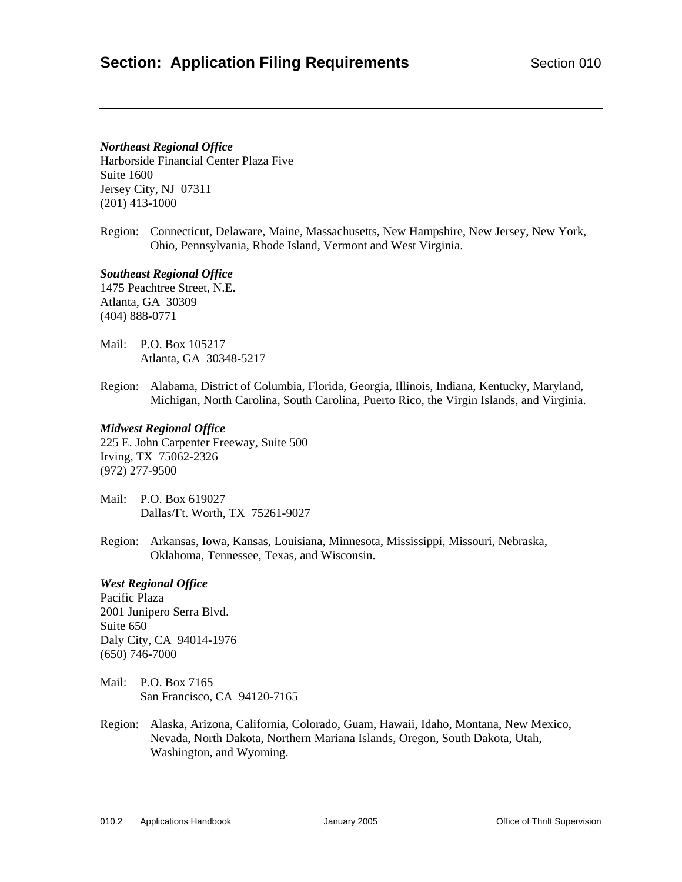# **Section: Application Filing Requirements** Section 010

#### *Northeast Regional Office*

Harborside Financial Center Plaza Five Suite 1600 Jersey City, NJ 07311 (201) 413-1000

Region: Connecticut, Delaware, Maine, Massachusetts, New Hampshire, New Jersey, New York, Ohio, Pennsylvania, Rhode Island, Vermont and West Virginia.

#### *Southeast Regional Office*

1475 Peachtree Street, N.E. Atlanta, GA 30309 (404) 888-0771

Mail: P.O. Box 105217 Atlanta, GA 30348-5217

Region: Alabama, District of Columbia, Florida, Georgia, Illinois, Indiana, Kentucky, Maryland, Michigan, North Carolina, South Carolina, Puerto Rico, the Virgin Islands, and Virginia.

#### *Midwest Regional Office*

225 E. John Carpenter Freeway, Suite 500 Irving, TX 75062-2326 (972) 277-9500

- Mail: P.O. Box 619027 Dallas/Ft. Worth, TX 75261-9027
- Region: Arkansas, Iowa, Kansas, Louisiana, Minnesota, Mississippi, Missouri, Nebraska, Oklahoma, Tennessee, Texas, and Wisconsin.

# *West Regional Office*

Pacific Plaza 2001 Junipero Serra Blvd. Suite 650 Daly City, CA 94014-1976 (650) 746-7000

- Mail: P.O. Box 7165 San Francisco, CA 94120-7165
- Region: Alaska, Arizona, California, Colorado, Guam, Hawaii, Idaho, Montana, New Mexico, Nevada, North Dakota, Northern Mariana Islands, Oregon, South Dakota, Utah, Washington, and Wyoming.